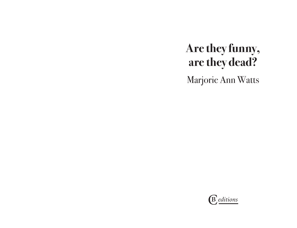## **Are they funny, are they dead?**

Marjorie Ann Watts

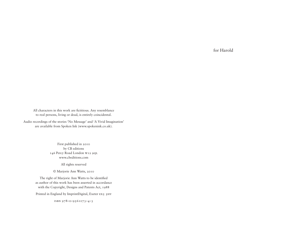for Harold

All characters in this work are fictitious. Any resemblance to real persons, living or dead, is entirely coincidental.

Audio recordings of the stories 'No Message' and 'A Vivid Imagination' are available from Spoken Ink (www.spokenink.co.uk).

> First published in 2010 by CB editions 146 Percy Road London w12 9ql www.cbeditions.com

> > All rights reserved

© Marjorie Ann Watts, 2010

The right of Marjorie Ann Watts to be identified as author of this work has been asserted in accordance with the Copyright, Designs and Patents Act, 1988 Printed in England by ImprintDigital, Exeter EX5 5HY

isbn 978–0–9561073–4–3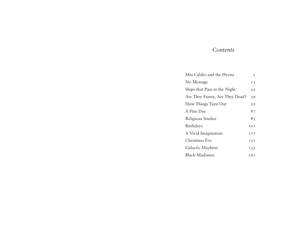## *Contents*

| Mrs Calder and the Hyena       | I    |
|--------------------------------|------|
| No Message                     | 15   |
| Ships that Pass in the Night   | 25   |
| Are They Funny, Are They Dead? | 39   |
| How Things Turn Out            | 53   |
| A Fine Day                     | 67   |
| Religious Studies              | 83   |
| Birthdays                      | IOI  |
| A Vivid Imagination            | III7 |
| Christmas Eve                  | 137  |
| Galactic Mayhem                | 155  |
| Black Madonna                  | 167  |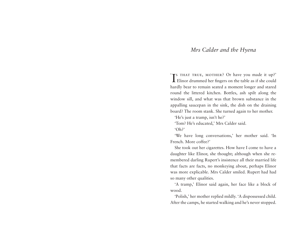## *Mrs Calder and the Hyena*

I Elinor drummed her fingers on the table as if she could 'TS THAT TRUE, MOTHER? Or have you made it up?' hardly bear to remain seated a moment longer and stared round the littered kitchen. Bottles, ash spilt along the window sill, and what was that brown substance in the appalling saucepan in the sink, the dish on the draining board? The room stank. She turned again to her mother.

'He's just a tramp, isn't he?'

'Tom? He's educated,' Mrs Calder said.

'Oh?'

'We have long conversations,' her mother said. 'In French. More coffee?'

She took out her cigarettes. How have I come to have a daughter like Elinor, she thought; although when she remembered darling Rupert's insistence all their married life that facts are facts, no monkeying about, perhaps Elinor was more explicable. Mrs Calder smiled. Rupert had had so many other qualities.

'A tramp,' Elinor said again, her face like a block of wood.

'Polish,' her mother replied mildly. 'A dispossessed child. After the camps, he started walking and he's never stopped.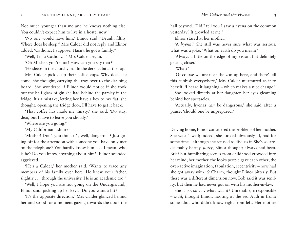Not much younger than me and he knows nothing else. You couldn't expect him to live in a hostel now.'

'No one would have him,' Elinor said. 'Drunk, filthy. Where does he sleep?' Mrs Calder did not reply and Elinor added, 'Catholic, I suppose. Hasn't he got a family?'

'Well, I'm a Catholic –' Mrs Calder began.

'Oh Mother, you're not! How can you say that?'

'He sleeps in the churchyard. In the derelict bit at the top.'

Mrs Calder picked up their coffee cups. Why does she come, she thought, carrying the tray over to the draining board. She wondered if Elinor would notice if she took out the half glass of gin she had behind the parsley in the fridge. It's a mistake, letting her have a key to my flat, she thought, opening the fridge door, I'll have to get it back.

'That coffee has made me thirsty,' she said. 'Do stay, dear, but I have to leave you shortly.'

'Where are you going?'

'My Californian admirer –'

'Mother! Don't you think it's, well, dangerous? Just going off for the afternoon with someone you have only met on the telephone? You hardly know him . . . I mean, who is he? Do you know anything about him?' Elinor sounded aggrieved.

'He's a Calder,' her mother said. 'Wants to trace any members of his family over here. He knew your father, slightly . . . through the university. He is an academic too.'

'Well, I hope you are not going on the Underground,' Elinor said, picking up her keys. 'Do you want a lift?'

'It's the opposite direction.' Mrs Calder glanced behind her and stood for a moment gazing towards the door, the hall beyond. 'Did I tell you I saw a hyena on the common yesterday? It growled at me.'

Elinor stared at her mother.

'A *hyena*?' She still was never sure what was serious, what was a joke. 'What on earth do you mean?'

'Always a little on the edge of my vision, but definitely getting closer.'

'What?'

'Of course we are near the zoo up here, and there's all this rubbish everywhere,' Mrs Calder murmured as if to herself. 'I heard it laughing – which makes a nice change.'

She looked directly at her daughter, her eyes gleaming behind her spectacles.

'Actually, hyenas *can* be dangerous,' she said after a pause, 'should one be unprepared.'

Driving home, Elinor considered the problem of her mother. She wasn't well; indeed, she looked obviously ill, had for some time – although she refused to discuss it. She's so irredeemably barmy, *potty*, Elinor thought; always had been. Brief but humiliating scenes from childhood crowded into her mind; her mother, the looks people gave each other; the over-active imagination, fabulation, eccentricity – how had she got away with it? Charm, thought Elinor bitterly. But there was a different dimension now. Bob said it was senility, but then he had never got on with his mother-in-law.

She is so, so . . . what was it? Unreliable, irresponsible – *mad*, thought Elinor, hooting at the red Audi in front: some idiot who didn't know right from left. Her mother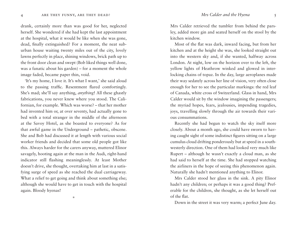drank, certainly more than was good for her, neglected herself. She wondered if she had kept the last appointment at the hospital, what it would be like when she was gone, dead, finally extinguished? For a moment, the neat suburban house waiting twenty miles out of the city, lovely lawns perfectly in place, shining windows, brick path up to the front door clean and swept (Bob liked things well done, was a fanatic about his garden) – for a moment the whole image faded, became paper thin, void.

'It's my home, I love it. It's what I want,' she said aloud to the passing traffic. Resentment flared comfortingly. She's mad; she'll say anything, *anything*! All these ghastly fabrications, you never knew where you stood. The Californian, for example. Which was worse? – that her mother had invented him or, at over seventy, had actually gone to bed with a total stranger in the middle of the afternoon at the Savoy Hotel, as she boasted to everyone? As for that awful game in the Underground – pathetic, obscene. She and Bob had discussed it at length with various social worker friends and decided that some old people got like this. Always harder for the carers anyway, muttered Elinor savagely, hooting again at the man in the Audi, right-hand indicator still flashing meaninglessly. At least Mother doesn't drive, she thought, overtaking him at last in a satisfying surge of speed as she reached the dual carriageway. What a relief to get going and think about something else; although she would have to get in touch with the hospital again. Bloody hyenas!

 $\mathbf{x}_t^i$ 

Mrs Calder retrieved the tumbler from behind the parsley, added more gin and seated herself on the stool by the kitchen window.

Most of the flat was dark, inward facing, but from her kitchen and at the height she was, she looked straight out into the western sky and, if she wanted, halfway across London. At night, low on the horizon over to the left, the yellow lights of Heathrow winked and glowed in interlocking chains of topaz. In the day, large aeroplanes made their way sedately across her line of vision, very often close enough for her to see the particular markings: the red leaf of Canada, white cross of Switzerland. Glass in hand, Mrs Calder would sit by the window imagining the passengers; the myriad hopes, fears, jealousies, impending tragedies, joys, travelling slowly through the air towards their various consummations.

Recently she had begun to watch the sky itself more closely. About a month ago, she could have sworn to having caught sight of some indistinct figures sitting on a large cumulus cloud drifting ponderously but at speed in a southwesterly direction. One of them had looked very much like Rupert – although he wasn't exactly a cloud man, as she had said to herself at the time. She had stopped watching the airliners in the hope of seeing this phenomenon again. Naturally she hadn't mentioned anything to Elinor.

Mrs Calder stood her glass in the sink. A pity Elinor hadn't any children; or perhaps it was a good thing? Preferable for the children, she thought, as she let herself out of the flat.

Down in the street it was very warm; a perfect June day.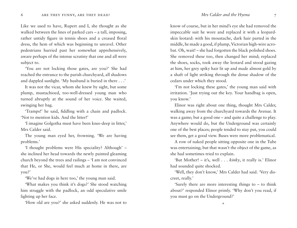Like we used to have, Rupert and I, she thought as she walked between the lines of parked cars – a tall, imposing, rather untidy figure in tennis shoes and a creased floral dress, the hem of which was beginning to unravel. Other pedestrians hurried past her somewhat apprehensively, aware perhaps of the intense scrutiny that one and all were subject to.

'You are not locking those gates, are you?' She had reached the entrance to the parish churchyard, all shadows and dappled sunlight. 'My husband is buried in there . . .'

It was not the vicar, whom she knew by sight, but some plump, mustachioed, too-well-dressed young man who turned abruptly at the sound of her voice. She waited, swinging her bag.

'Tramps!' he said, fiddling with a chain and padlock. 'Not to mention kids. And the litter!'

'I imagine Golgotha must have been knee-deep in litter,' Mrs Calder said.

The young man eyed her, frowning. 'We are having problems.'

'I thought problems were His speciality? Although' – she inclined her head towards the newly painted gleaming church beyond the trees and railings – 'I am not convinced that He, or She, would feel much at home in there, are you?'

'We've had dogs in here too,' the young man said.

'What makes you think it's dogs?' She stood watching him struggle with the padlock, an odd speculative smile lighting up her face.

'How old are you?' she asked suddenly. He was not to

know of course, but in her mind's eye she had removed the impeccable suit he wore and replaced it with a leopardskin leotard: with his moustache, dark hair parted in the middle, he made a good, if plump, Victorian high-wire acrobat. Oh, wait! – she had forgotten the black polished shoes. She removed these too, then changed her mind; replaced the shoes, socks, took away the leotard and stood gazing at him, her grey spiky hair lit up and made almost gold by a shaft of light striking through the dense shadow of the cedars under which they stood.

'I'm not locking these gates,' the young man said with irritation. 'Just trying out the key. Your handbag is open, you know.'

Elinor was right about one thing, thought Mrs Calder, walking away from the churchyard towards the Avenue. It was a game; but a good one – and quite a challenge to play. Anywhere would do, but the Underground was certainly one of the best places; people tended to stay put, you could see them, get a good view. Buses were more problematical.

A row of naked people sitting opposite one in the Tube was entertaining; but that wasn't the object of the game, as she had sometimes tried to explain.

'But Mother! – it's, well . . . *kinky*, it really is.' Elinor had sounded quite shocked.

'Well, they don't know,' Mrs Calder had said. 'Very discreet, really.'

'Surely there are more interesting things to – to think about?' responded Elinor primly. 'Why don't you read, if you must go on the Underground?'

\*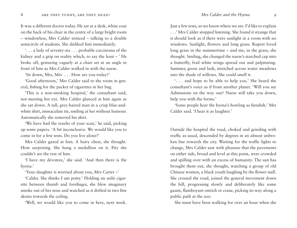It was a different doctor today. He sat at a desk, white coat on the back of his chair in the centre of a large bright room – windowless, Mrs Calder noticed – talking to a double semicircle of students. She disliked him immediately.

'. . . a lady of seventy-six . . . probable carcinoma of the kidney and a grip on reality which, to say the least – ' He broke off, gesturing vaguely at a chair set at an angle in front of him as Mrs Calder walked in with the nurse.

'Sit down, Mrs, Mrs . . . How are you today?'

'Good afternoon,' Mrs Calder said to the room in general, fishing for the packet of cigarettes in her bag.

'This is a non-smoking hospital,' the consultant said, not meeting her eye. Mrs Calder glanced at him again as she sat down. A tall, grey-haired man in a crisp blue-andwhite shirt, immaculate tie, smiling at her without humour. Automatically she removed his shirt.

'We have had the results of your scan,' he said, picking up some papers. 'A bit inconclusive. We would like you to come in for a few tests. Do you live alone?'

Mrs Calder gazed at him. A hairy chest, she thought. How surprising. She hung a medallion on it. Pity she couldn't see the rest of him.

'I have my devotees,' she said. 'And then there is the hyena.'

'Your daughter is worried about you, Mrs Carter –'

'Calder. She thinks I am potty.' Holding an unlit cigarette between thumb and forefinger, she blew imaginary smoke out of her nose and watched as it drifted in two fine skeins towards the ceiling.

'Well, we would like you to come in here, next week.

Just a few tests, so we know where we are. I'd like to explain . . .' Mrs Calder stopped listening. She found it strange that it should look as if there were sunlight in a room with no windows. Sunlight, flowers and long grass. Rupert loved long grass in the summertime – and me, in the grass, she thought. Smiling, she changed the nurse's starched cap into a butterfly, frail white wings spread out and palpitating. Summer, green and lush, stretched across water meadows into the shade of willows. She could smell it.

'. . . and hope to be able to help you.' She heard the consultant's voice as if from another planet. 'Will you see Admissions on the way out? Nurse will take you down, help you with the forms.'

'Some people hear the hyena's howling as fiendish,' Mrs Calder said. 'I hear it as laughter.'

Outside the hospital the road, choked and grinding with traffic as usual, descended by degrees in an almost unbroken line towards the city. Waiting for the traffic lights to change, Mrs Calder saw with pleasure that the pavements on either side, broad and level at this point, were crowded and spilling over with an excess of humanity. The sun has brought them out, she thought, watching a group of old Chinese women, a black youth laughing by the flower stall. She crossed the road, joined the general movement down the hill, progressing slowly and deliberately like some gaunt, flamboyant ostrich or crane, picking its way along a public path at the zoo.

She must have been walking for over an hour when she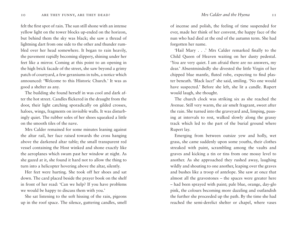felt the first spot of rain. The sun still shone with an intense yellow light on the tower blocks up-ended on the horizon, but behind them the sky was black; she saw a thread of lightning dart from one side to the other and thunder rumbled over her head somewhere. It began to rain heavily, the pavement rapidly becoming slippery, shining under her feet like a mirror. Coming at this point to an opening in the high brick facade of the street, she saw beyond a grimy patch of courtyard, a few geraniums in tubs, a notice which announced: 'Welcome to this Historic Church.' It was as good a shelter as any.

The building she found herself in was cool and dark after the hot street. Candles flickered in the draught from the door, their light catching sporadically on gilded crosses, haloes, wings, fragments on invisible walls. It was disturbingly quiet. The rubber soles of her shoes squeaked a little on the smooth tiles of the nave.

Mrs Calder remained for some minutes leaning against the altar rail, her face raised towards the cross hanging above the darkened altar table; the small transparent red vessel containing the Host winked and shone exactly like the aeroplanes which swam past her window at night. As she gazed at it, she found it hard not to allow the thing to turn into a helicopter hovering above the altar, silently.

Her feet were hurting. She took off her shoes and sat down. The card placed beside the prayer book on the shelf in front of her read: 'Can we help? If you have problems we would be happy to discuss them with you.'

She sat listening to the soft hissing of the rain, pigeons up in the roof space. The silence, guttering candles, smell of incense and polish, the feeling of time suspended for ever, made her think of her convent, the happy face of the nun who had died at the end of the autumn term. She had forgotten her name.

'Hail Mary . . .' Mrs Calder remarked finally to the Child Queen of Heaven waiting on her dusty pedestal. 'You are very quiet. I am afraid there are no answers, my dear.' Absentmindedly she divested the little Virgin of her chipped blue mantle, fluted robe, expecting to find plaster beneath. 'Black lace!' she said, smiling. 'No one would have suspected.' Before she left, she lit a candle. Rupert would laugh, she thought.

The church clock was striking six as she reached the Avenue. Still very warm, the air smelt fragrant, sweet after the rain. She turned into the graveyard and, limping, pausing at intervals to rest, walked slowly along the grassy track which led to the part of the burial ground where Rupert lay.

Emerging from between outsize yew and holly, wet grass, she came suddenly upon some youths, their clothes streaked with paint, scrambling among the vaults and graves and kicking a tin or tins from one mossy level to another. As she approached they rushed away, laughing wildly and shouting to one another, leaping over the graves and bushes like a troop of antelope. She saw at once that almost all the gravestones – the spaces were greater here – had been sprayed with paint; pale blue, orange, day-glo pink, the colours becoming more dazzling and outlandish the further she proceeded up the path. By the time she had reached the semi-derelict shelter or chapel, where vases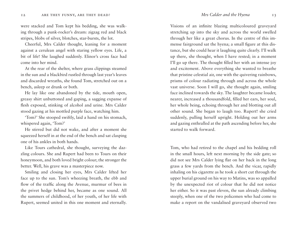were stacked and Tom kept his bedding, she was walking through a punk-rocker's dream: zigzag red and black stripes, blobs of silver, blotches, star-bursts, the lot.

Cheerful, Mrs Calder thought, leaning for a moment against a cerulean angel with staring yellow eyes. Life, a bit of life! She laughed suddenly. Elinor's cross face had come into her mind.

At the rear of the shelter, where grass clippings steamed in the sun and a blackbird rustled through last year's leaves and discarded wreaths, she found Tom, stretched out on a bench, asleep or drunk or both.

He lay like one abandoned by the tide, mouth open, greasy shirt unbuttoned and gaping, a sagging expanse of flesh exposed, stinking of alcohol and urine. Mrs Calder stood gazing at his mottled purple face, watching him.

'Tom?' She stooped swiftly, laid a hand on his stomach, whispered again, 'Tom?'

He stirred but did not wake, and after a moment she squeezed herself in at the end of the bench and sat clasping one of his ankles in both hands.

Like Tours cathedral, she thought, surveying the dazzling colours. She and Rupert had been to Tours on their honeymoon, and both loved bright colour; the stronger the better. Well, his grave was a masterpiece now.

Smiling and closing her eyes, Mrs Calder lifted her face up to the sun. Tom's wheezing breath, the ebb and flow of the traffic along the Avenue, murmur of bees in the privet hedge behind her, became as one sound. All the summers of childhood, of her youth, of her life with Rupert, seemed united in this one moment and eternally.

Visions of an infinite blazing multicoloured graveyard stretching up into the sky and across the world swelled through her like a great chorus. In the centre of this immense fairground sat the hyena; a small figure at this distance, but she could hear it laughing quite clearly. I'll walk up there, she thought, when I have rested; in a moment I'll go up there. The thought filled her with an intense joy and excitement. Above everything she wanted to breathe that pristine celestial air, one with the quivering rainbows, prisms of colour radiating through and across the whole vast universe. Soon I will go, she thought again, smiling face inclined towards the sky. The laughter became louder, nearer, increased a thousandfold, filled her ears, her soul, her whole being, echoing through her and blotting out all other sound. She began to laugh too. Rupert! she cried suddenly, pulling herself upright. Holding out her arms and gazing enthralled at the path ascending before her, she started to walk forward.

Tom, who had retired to the chapel and his bedding roll in the small hours, left next morning by the side gate; so did not see Mrs Calder lying flat on her back in the long grass a few yards from the bench. And the vicar, rapidly inhaling on his cigarette as he took a short cut through the upper burial ground on his way to Matins, was so appalled by the unexpected riot of colour that he did not notice her either. So it was past eleven, the sun already climbing steeply, when one of the two policemen who had come to make a report on the vandalised graveyard observed two